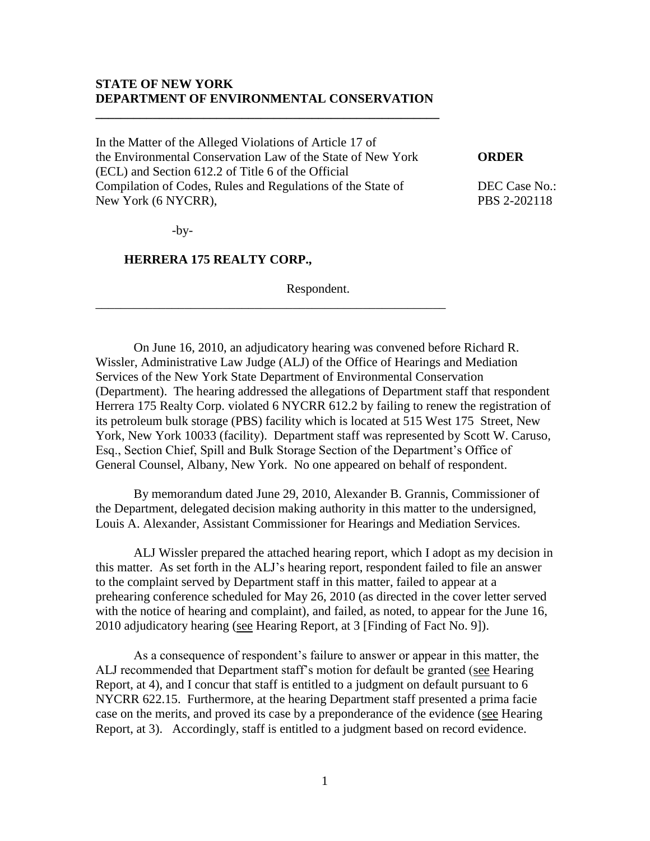### **STATE OF NEW YORK DEPARTMENT OF ENVIRONMENTAL CONSERVATION**

**\_\_\_\_\_\_\_\_\_\_\_\_\_\_\_\_\_\_\_\_\_\_\_\_\_\_\_\_\_\_\_\_\_\_\_\_\_\_\_\_\_\_\_\_\_\_\_\_\_\_\_\_\_\_**

In the Matter of the Alleged Violations of Article 17 of the Environmental Conservation Law of the State of New York **ORDER** (ECL) and Section 612.2 of Title 6 of the Official Compilation of Codes, Rules and Regulations of the State of DEC Case No.: New York (6 NYCRR), PBS 2-202118

\_\_\_\_\_\_\_\_\_\_\_\_\_\_\_\_\_\_\_\_\_\_\_\_\_\_\_\_\_\_\_\_\_\_\_\_\_\_\_\_\_\_\_\_\_\_\_\_\_\_\_\_\_\_\_

-by-

### **HERRERA 175 REALTY CORP.,**

Respondent.

On June 16, 2010, an adjudicatory hearing was convened before Richard R. Wissler, Administrative Law Judge (ALJ) of the Office of Hearings and Mediation Services of the New York State Department of Environmental Conservation (Department). The hearing addressed the allegations of Department staff that respondent Herrera 175 Realty Corp. violated 6 NYCRR 612.2 by failing to renew the registration of its petroleum bulk storage (PBS) facility which is located at 515 West 175 Street, New York, New York 10033 (facility). Department staff was represented by Scott W. Caruso, Esq., Section Chief, Spill and Bulk Storage Section of the Department's Office of General Counsel, Albany, New York. No one appeared on behalf of respondent.

By memorandum dated June 29, 2010, Alexander B. Grannis, Commissioner of the Department, delegated decision making authority in this matter to the undersigned, Louis A. Alexander, Assistant Commissioner for Hearings and Mediation Services.

ALJ Wissler prepared the attached hearing report, which I adopt as my decision in this matter. As set forth in the ALJ's hearing report, respondent failed to file an answer to the complaint served by Department staff in this matter, failed to appear at a prehearing conference scheduled for May 26, 2010 (as directed in the cover letter served with the notice of hearing and complaint), and failed, as noted, to appear for the June 16, 2010 adjudicatory hearing (see Hearing Report, at 3 [Finding of Fact No. 9]).

As a consequence of respondent's failure to answer or appear in this matter, the ALJ recommended that Department staff's motion for default be granted (see Hearing Report, at 4), and I concur that staff is entitled to a judgment on default pursuant to 6 NYCRR 622.15. Furthermore, at the hearing Department staff presented a prima facie case on the merits, and proved its case by a preponderance of the evidence (see Hearing Report, at 3). Accordingly, staff is entitled to a judgment based on record evidence.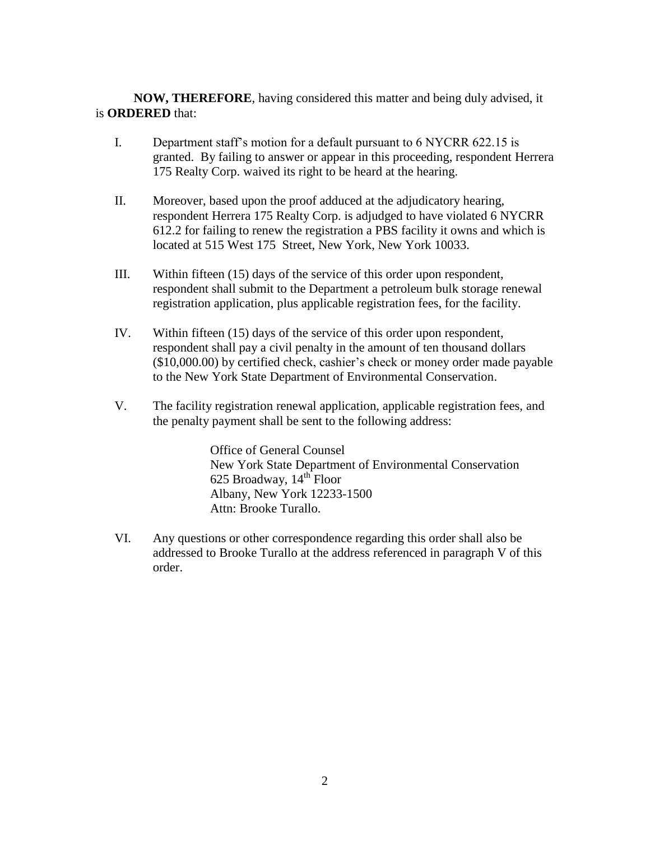**NOW, THEREFORE**, having considered this matter and being duly advised, it is **ORDERED** that:

- I. Department staff's motion for a default pursuant to 6 NYCRR 622.15 is granted. By failing to answer or appear in this proceeding, respondent Herrera 175 Realty Corp. waived its right to be heard at the hearing.
- II. Moreover, based upon the proof adduced at the adjudicatory hearing, respondent Herrera 175 Realty Corp. is adjudged to have violated 6 NYCRR 612.2 for failing to renew the registration a PBS facility it owns and which is located at 515 West 175 Street, New York, New York 10033.
- III. Within fifteen (15) days of the service of this order upon respondent, respondent shall submit to the Department a petroleum bulk storage renewal registration application, plus applicable registration fees, for the facility.
- IV. Within fifteen (15) days of the service of this order upon respondent, respondent shall pay a civil penalty in the amount of ten thousand dollars (\$10,000.00) by certified check, cashier's check or money order made payable to the New York State Department of Environmental Conservation.
- V. The facility registration renewal application, applicable registration fees, and the penalty payment shall be sent to the following address:

Office of General Counsel New York State Department of Environmental Conservation 625 Broadway,  $14^{\text{th}}$  Floor Albany, New York 12233-1500 Attn: Brooke Turallo.

VI. Any questions or other correspondence regarding this order shall also be addressed to Brooke Turallo at the address referenced in paragraph V of this order.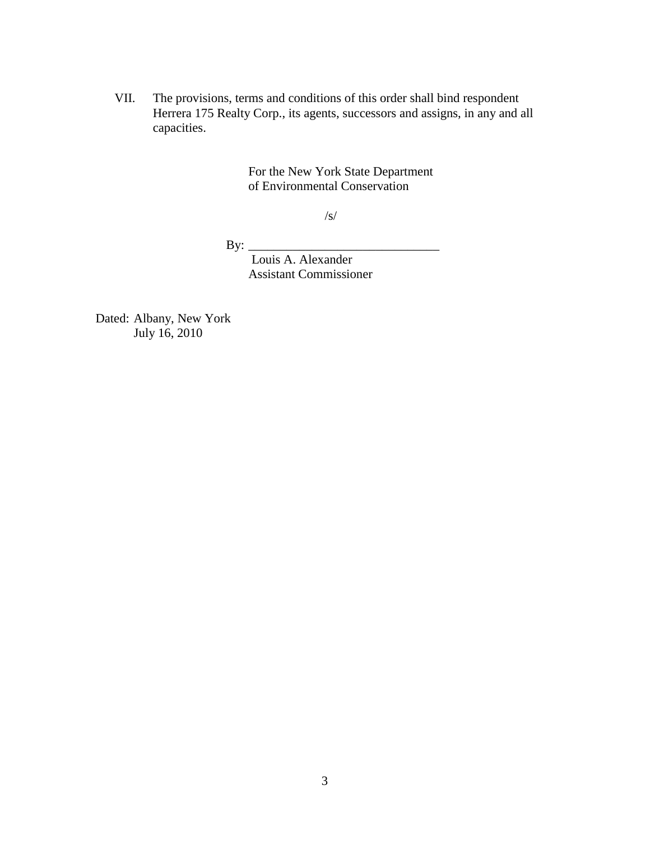VII. The provisions, terms and conditions of this order shall bind respondent Herrera 175 Realty Corp., its agents, successors and assigns, in any and all capacities.

> For the New York State Department of Environmental Conservation

> > /s/

By:  $\_\_$ 

Louis A. Alexander Assistant Commissioner

Dated: Albany, New York July 16, 2010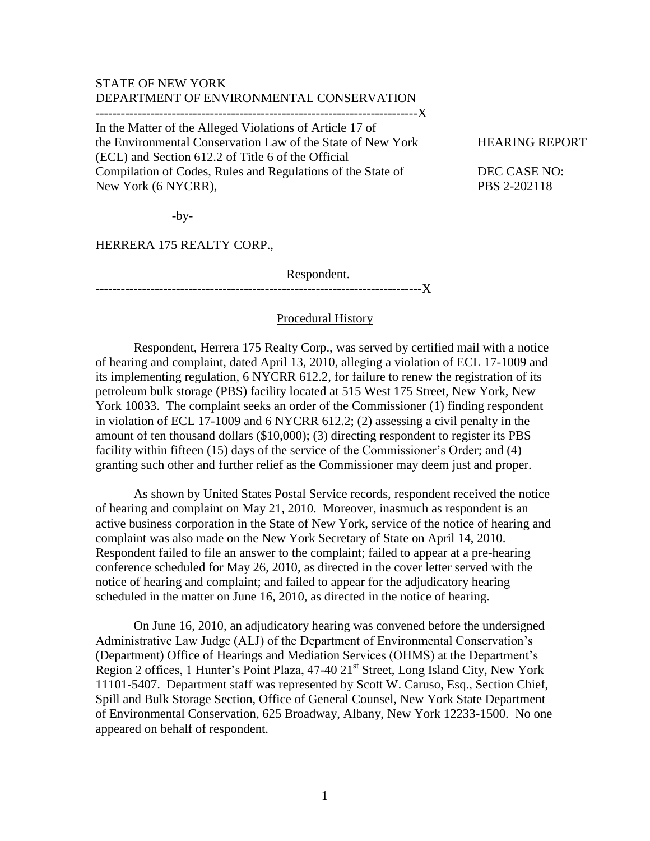# STATE OF NEW YORK DEPARTMENT OF ENVIRONMENTAL CONSERVATION

----------------------------------------------------------------------------X

In the Matter of the Alleged Violations of Article 17 of the Environmental Conservation Law of the State of New York HEARING REPORT (ECL) and Section 612.2 of Title 6 of the Official Compilation of Codes, Rules and Regulations of the State of DEC CASE NO: New York (6 NYCRR), PBS 2-202118

 $-by-$ 

HERRERA 175 REALTY CORP.,

Respondent.

-----------------------------------------------------------------------------X

#### Procedural History

Respondent, Herrera 175 Realty Corp., was served by certified mail with a notice of hearing and complaint, dated April 13, 2010, alleging a violation of ECL 17-1009 and its implementing regulation, 6 NYCRR 612.2, for failure to renew the registration of its petroleum bulk storage (PBS) facility located at 515 West 175 Street, New York, New York 10033. The complaint seeks an order of the Commissioner (1) finding respondent in violation of ECL 17-1009 and 6 NYCRR 612.2; (2) assessing a civil penalty in the amount of ten thousand dollars (\$10,000); (3) directing respondent to register its PBS facility within fifteen (15) days of the service of the Commissioner's Order; and (4) granting such other and further relief as the Commissioner may deem just and proper.

As shown by United States Postal Service records, respondent received the notice of hearing and complaint on May 21, 2010. Moreover, inasmuch as respondent is an active business corporation in the State of New York, service of the notice of hearing and complaint was also made on the New York Secretary of State on April 14, 2010. Respondent failed to file an answer to the complaint; failed to appear at a pre-hearing conference scheduled for May 26, 2010, as directed in the cover letter served with the notice of hearing and complaint; and failed to appear for the adjudicatory hearing scheduled in the matter on June 16, 2010, as directed in the notice of hearing.

On June 16, 2010, an adjudicatory hearing was convened before the undersigned Administrative Law Judge (ALJ) of the Department of Environmental Conservation's (Department) Office of Hearings and Mediation Services (OHMS) at the Department's Region 2 offices, 1 Hunter's Point Plaza, 47-40 21<sup>st</sup> Street, Long Island City, New York 11101-5407. Department staff was represented by Scott W. Caruso, Esq., Section Chief, Spill and Bulk Storage Section, Office of General Counsel, New York State Department of Environmental Conservation, 625 Broadway, Albany, New York 12233-1500. No one appeared on behalf of respondent.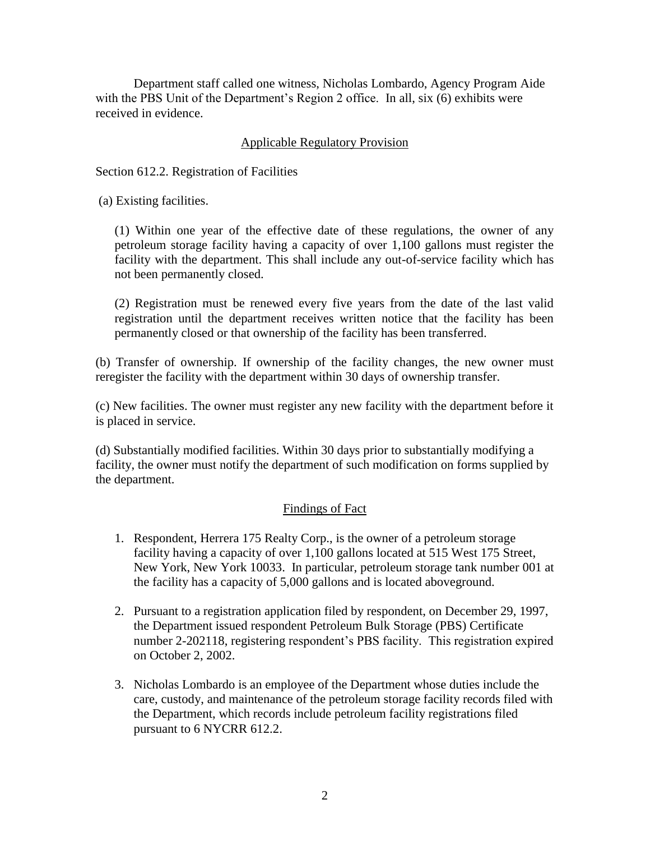Department staff called one witness, Nicholas Lombardo, Agency Program Aide with the PBS Unit of the Department's Region 2 office. In all, six (6) exhibits were received in evidence.

## Applicable Regulatory Provision

Section 612.2. Registration of Facilities

(a) Existing facilities.

(1) Within one year of the effective date of these regulations, the owner of any petroleum storage facility having a capacity of over 1,100 gallons must register the facility with the department. This shall include any out-of-service facility which has not been permanently closed.

(2) Registration must be renewed every five years from the date of the last valid registration until the department receives written notice that the facility has been permanently closed or that ownership of the facility has been transferred.

(b) Transfer of ownership. If ownership of the facility changes, the new owner must reregister the facility with the department within 30 days of ownership transfer.

(c) New facilities. The owner must register any new facility with the department before it is placed in service.

(d) Substantially modified facilities. Within 30 days prior to substantially modifying a facility, the owner must notify the department of such modification on forms supplied by the department.

### Findings of Fact

- 1. Respondent, Herrera 175 Realty Corp., is the owner of a petroleum storage facility having a capacity of over 1,100 gallons located at 515 West 175 Street, New York, New York 10033. In particular, petroleum storage tank number 001 at the facility has a capacity of 5,000 gallons and is located aboveground.
- 2. Pursuant to a registration application filed by respondent, on December 29, 1997, the Department issued respondent Petroleum Bulk Storage (PBS) Certificate number 2-202118, registering respondent's PBS facility. This registration expired on October 2, 2002.
- 3. Nicholas Lombardo is an employee of the Department whose duties include the care, custody, and maintenance of the petroleum storage facility records filed with the Department, which records include petroleum facility registrations filed pursuant to 6 NYCRR 612.2.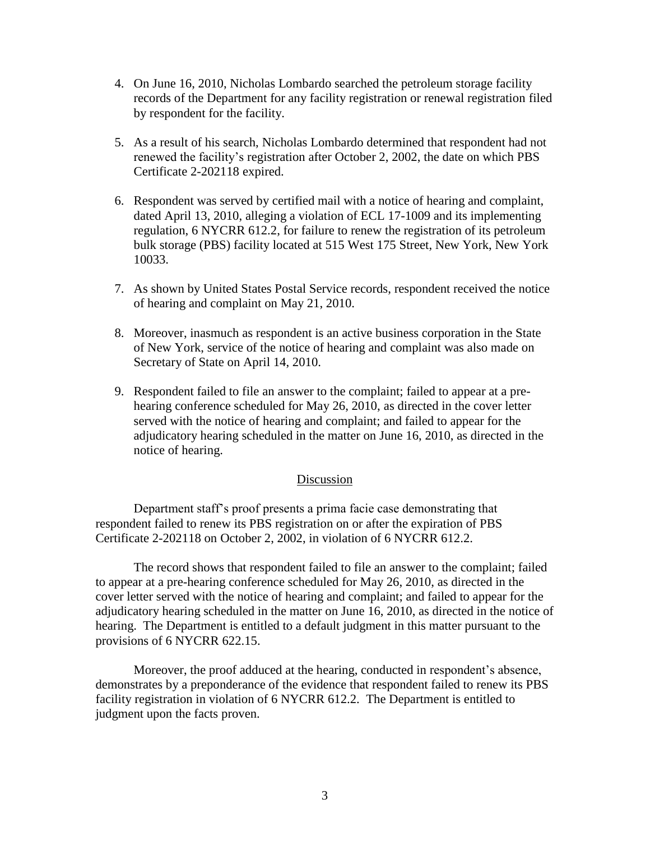- 4. On June 16, 2010, Nicholas Lombardo searched the petroleum storage facility records of the Department for any facility registration or renewal registration filed by respondent for the facility.
- 5. As a result of his search, Nicholas Lombardo determined that respondent had not renewed the facility's registration after October 2, 2002, the date on which PBS Certificate 2-202118 expired.
- 6. Respondent was served by certified mail with a notice of hearing and complaint, dated April 13, 2010, alleging a violation of ECL 17-1009 and its implementing regulation, 6 NYCRR 612.2, for failure to renew the registration of its petroleum bulk storage (PBS) facility located at 515 West 175 Street, New York, New York 10033.
- 7. As shown by United States Postal Service records, respondent received the notice of hearing and complaint on May 21, 2010.
- 8. Moreover, inasmuch as respondent is an active business corporation in the State of New York, service of the notice of hearing and complaint was also made on Secretary of State on April 14, 2010.
- 9. Respondent failed to file an answer to the complaint; failed to appear at a prehearing conference scheduled for May 26, 2010, as directed in the cover letter served with the notice of hearing and complaint; and failed to appear for the adjudicatory hearing scheduled in the matter on June 16, 2010, as directed in the notice of hearing.

#### Discussion

Department staff's proof presents a prima facie case demonstrating that respondent failed to renew its PBS registration on or after the expiration of PBS Certificate 2-202118 on October 2, 2002, in violation of 6 NYCRR 612.2.

The record shows that respondent failed to file an answer to the complaint; failed to appear at a pre-hearing conference scheduled for May 26, 2010, as directed in the cover letter served with the notice of hearing and complaint; and failed to appear for the adjudicatory hearing scheduled in the matter on June 16, 2010, as directed in the notice of hearing. The Department is entitled to a default judgment in this matter pursuant to the provisions of 6 NYCRR 622.15.

Moreover, the proof adduced at the hearing, conducted in respondent's absence, demonstrates by a preponderance of the evidence that respondent failed to renew its PBS facility registration in violation of 6 NYCRR 612.2. The Department is entitled to judgment upon the facts proven.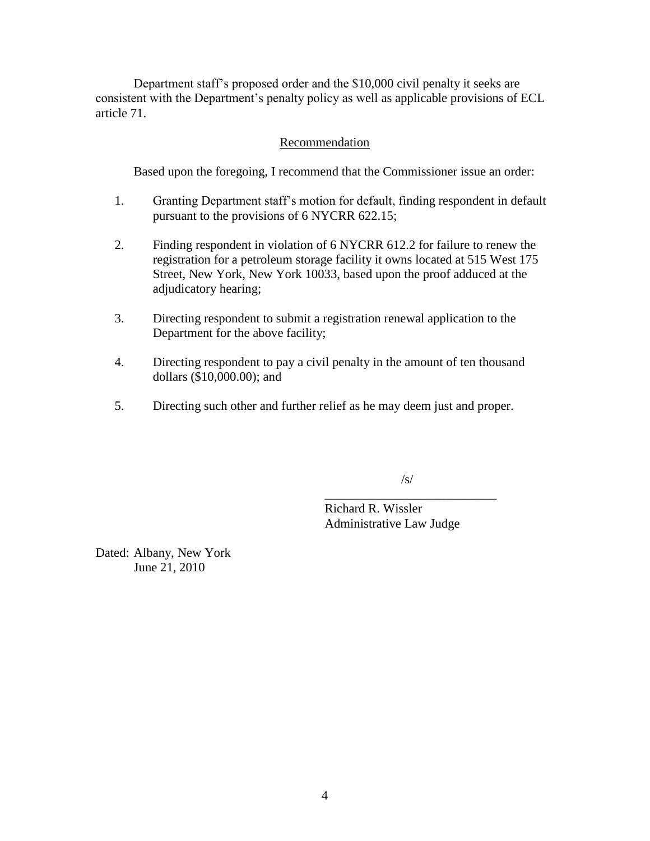Department staff's proposed order and the \$10,000 civil penalty it seeks are consistent with the Department's penalty policy as well as applicable provisions of ECL article 71.

### Recommendation

Based upon the foregoing, I recommend that the Commissioner issue an order:

- 1. Granting Department staff's motion for default, finding respondent in default pursuant to the provisions of 6 NYCRR 622.15;
- 2. Finding respondent in violation of 6 NYCRR 612.2 for failure to renew the registration for a petroleum storage facility it owns located at 515 West 175 Street, New York, New York 10033, based upon the proof adduced at the adjudicatory hearing;
- 3. Directing respondent to submit a registration renewal application to the Department for the above facility;
- 4. Directing respondent to pay a civil penalty in the amount of ten thousand dollars (\$10,000.00); and
- 5. Directing such other and further relief as he may deem just and proper.

/s/

\_\_\_\_\_\_\_\_\_\_\_\_\_\_\_\_\_\_\_\_\_\_\_\_\_\_\_ Richard R. Wissler Administrative Law Judge

Dated: Albany, New York June 21, 2010